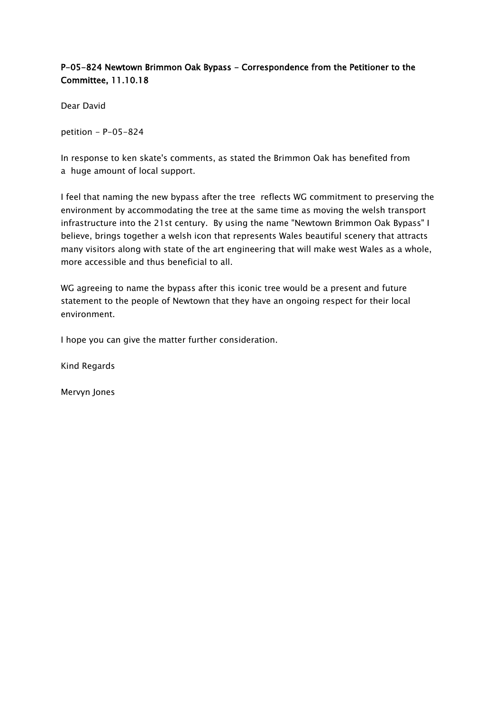## P-05-824 Newtown Brimmon Oak Bypass - Correspondence from the Petitioner to the Committee, 11.10.18

Dear David

petition - P-05-824

In response to ken skate's comments, as stated the Brimmon Oak has benefited from a huge amount of local support.

I feel that naming the new bypass after the tree reflects WG commitment to preserving the environment by accommodating the tree at the same time as moving the welsh transport infrastructure into the 21st century. By using the name "Newtown Brimmon Oak Bypass" I believe, brings together a welsh icon that represents Wales beautiful scenery that attracts many visitors along with state of the art engineering that will make west Wales as a whole, more accessible and thus beneficial to all.

WG agreeing to name the bypass after this iconic tree would be a present and future statement to the people of Newtown that they have an ongoing respect for their local environment.

I hope you can give the matter further consideration.

Kind Regards

Mervyn Jones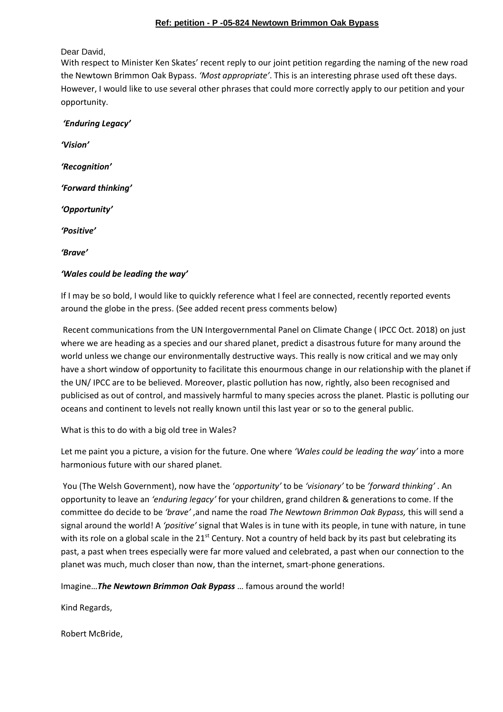## **Ref: petition - P -05-824 Newtown Brimmon Oak Bypass**

Dear David,

With respect to Minister Ken Skates' recent reply to our joint petition regarding the naming of the new road the Newtown Brimmon Oak Bypass. *'Most appropriate'*. This is an interesting phrase used oft these days. However, I would like to use several other phrases that could more correctly apply to our petition and your opportunity.

*'Enduring Legacy' 'Vision' 'Recognition' 'Forward thinking' 'Opportunity' 'Positive' 'Brave'*

## *'Wales could be leading the way'*

If I may be so bold, I would like to quickly reference what I feel are connected, recently reported events around the globe in the press. (See added recent press comments below)

Recent communications from the UN Intergovernmental Panel on Climate Change ( IPCC Oct. 2018) on just where we are heading as a species and our shared planet, predict a disastrous future for many around the world unless we change our environmentally destructive ways. This really is now critical and we may only have a short window of opportunity to facilitate this enourmous change in our relationship with the planet if the UN/ IPCC are to be believed. Moreover, plastic pollution has now, rightly, also been recognised and publicised as out of control, and massively harmful to many species across the planet. Plastic is polluting our oceans and continent to levels not really known until this last year or so to the general public.

What is this to do with a big old tree in Wales?

Let me paint you a picture, a vision for the future. One where *'Wales could be leading the way'* into a more harmonious future with our shared planet.

You (The Welsh Government), now have the '*opportunity'* to be *'visionary'* to be *'forward thinking'* . An opportunity to leave an *'enduring legacy'* for your children, grand children & generations to come. If the committee do decide to be *'brave'* ,and name the road *The Newtown Brimmon Oak Bypass,* this will send a signal around the world! A *'positive'* signal that Wales is in tune with its people, in tune with nature, in tune with its role on a global scale in the  $21<sup>st</sup>$  Century. Not a country of held back by its past but celebrating its past, a past when trees especially were far more valued and celebrated, a past when our connection to the planet was much, much closer than now, than the internet, smart-phone generations.

Imagine…*The Newtown Brimmon Oak Bypass* … famous around the world!

Kind Regards,

Robert McBride,